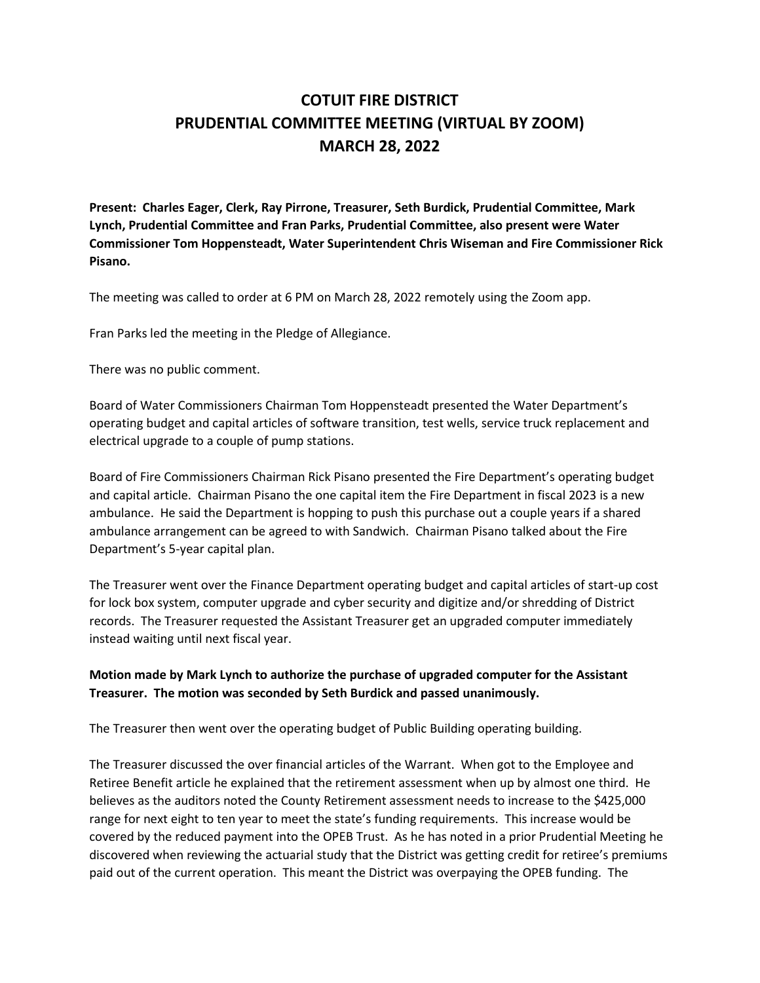## **COTUIT FIRE DISTRICT PRUDENTIAL COMMITTEE MEETING (VIRTUAL BY ZOOM) MARCH 28, 2022**

**Present: Charles Eager, Clerk, Ray Pirrone, Treasurer, Seth Burdick, Prudential Committee, Mark Lynch, Prudential Committee and Fran Parks, Prudential Committee, also present were Water Commissioner Tom Hoppensteadt, Water Superintendent Chris Wiseman and Fire Commissioner Rick Pisano.**

The meeting was called to order at 6 PM on March 28, 2022 remotely using the Zoom app.

Fran Parks led the meeting in the Pledge of Allegiance.

There was no public comment.

Board of Water Commissioners Chairman Tom Hoppensteadt presented the Water Department's operating budget and capital articles of software transition, test wells, service truck replacement and electrical upgrade to a couple of pump stations.

Board of Fire Commissioners Chairman Rick Pisano presented the Fire Department's operating budget and capital article. Chairman Pisano the one capital item the Fire Department in fiscal 2023 is a new ambulance. He said the Department is hopping to push this purchase out a couple years if a shared ambulance arrangement can be agreed to with Sandwich. Chairman Pisano talked about the Fire Department's 5-year capital plan.

The Treasurer went over the Finance Department operating budget and capital articles of start-up cost for lock box system, computer upgrade and cyber security and digitize and/or shredding of District records. The Treasurer requested the Assistant Treasurer get an upgraded computer immediately instead waiting until next fiscal year.

## **Motion made by Mark Lynch to authorize the purchase of upgraded computer for the Assistant Treasurer. The motion was seconded by Seth Burdick and passed unanimously.**

The Treasurer then went over the operating budget of Public Building operating building.

The Treasurer discussed the over financial articles of the Warrant. When got to the Employee and Retiree Benefit article he explained that the retirement assessment when up by almost one third. He believes as the auditors noted the County Retirement assessment needs to increase to the \$425,000 range for next eight to ten year to meet the state's funding requirements. This increase would be covered by the reduced payment into the OPEB Trust. As he has noted in a prior Prudential Meeting he discovered when reviewing the actuarial study that the District was getting credit for retiree's premiums paid out of the current operation. This meant the District was overpaying the OPEB funding. The